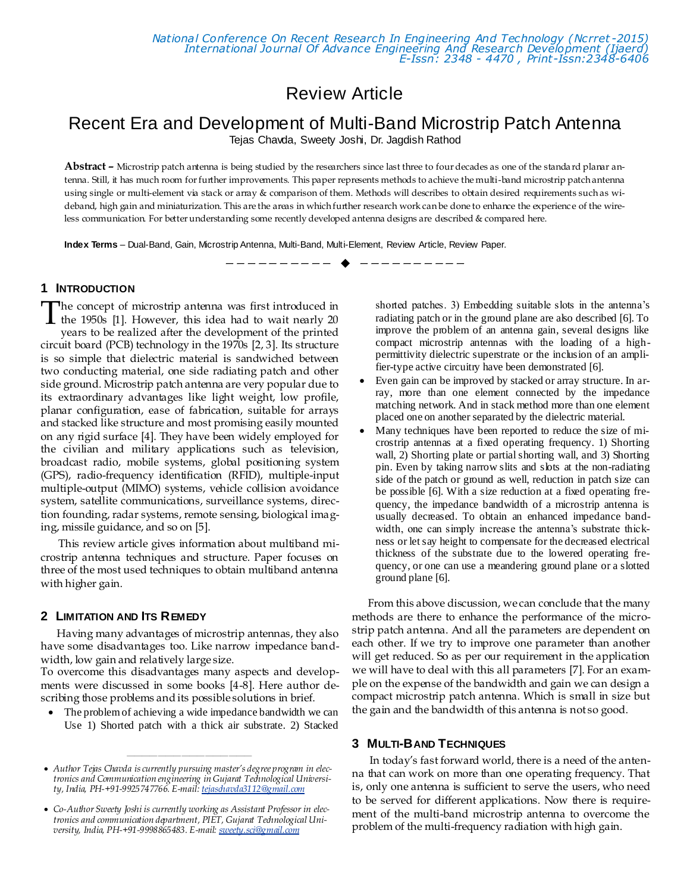# Review Article

# Recent Era and Development of Multi-Band Microstrip Patch Antenna

Tejas Chavda, Sweety Joshi, Dr. Jagdish Rathod

**Abstract –** Microstrip patch antenna is being studied by the researchers since last three to four decades as one of the standa rd planar antenna. Still, it has much room for further improvements. This paper represents methods to achieve the multi-band microstrip patch antenna using single or multi-element via stack or array & comparison of them. Methods will describes to obtain desired requirements such as wideband, high gain and miniaturization. This are the areas in which further research work can be done to enhance the experience of the wireless communication. For better understanding some recently developed antenna designs are described & compared here.

—————————— ——————————

**Index Terms** – Dual-Band, Gain, Microstrip Antenna, Multi-Band, Multi-Element, Review Article, Review Paper.

#### **1 INTRODUCTION**

The concept of microstrip antenna was first introduced in<br>the 1950s [1]. However, this idea had to wait nearly 20<br>nearly be available for the development of the minited the 1950s [1]. However, this idea had to wait nearly 20 years to be realized after the development of the printed circuit board (PCB) technology in the 1970s [2, 3]. Its structure is so simple that dielectric material is sandwiched between two conducting material, one side radiating patch and other side ground. Microstrip patch antenna are very popular due to its extraordinary advantages like light weight, low profile, planar configuration, ease of fabrication, suitable for arrays and stacked like structure and most promising easily mounted on any rigid surface [4]. They have been widely employed for the civilian and military applications such as television, broadcast radio, mobile systems, global positioning system (GPS), radio-frequency identification (RFID), multiple-input multiple-output (MIMO) systems, vehicle collision avoidance system, satellite communications, surveillance systems, direction founding, radar systems, remote sensing, biological imaging, missile guidance, and so on [5].

This review article gives information about multiband microstrip antenna techniques and structure. Paper focuses on three of the most used techniques to obtain multiband antenna with higher gain.

#### **2 LIMITATION AND ITS REMEDY**

Having many advantages of microstrip antennas, they also have some disadvantages too. Like narrow impedance bandwidth, low gain and relatively large size.

To overcome this disadvantages many aspects and developments were discussed in some books [4-8]. Here author describing those problems and its possible solutions in brief.

 The problem of achieving a wide impedance bandwidth we can Use 1) Shorted patch with a thick air substrate. 2) Stacked

————————————————

shorted patches. 3) Embedding suitable slots in the antenna's radiating patch or in the ground plane are also described [6]. To improve the problem of an antenna gain, several designs like compact microstrip antennas with the loading of a highpermittivity dielectric superstrate or the inclusion of an amplifier-type active circuitry have been demonstrated [6].

- Even gain can be improved by stacked or array structure. In array, more than one element connected by the impedance matching network. And in stack method more than one element placed one on another separated by the dielectric material.
- Many techniques have been reported to reduce the size of microstrip antennas at a fixed operating frequency. 1) Shorting wall, 2) Shorting plate or partial shorting wall, and 3) Shorting pin. Even by taking narrow slits and slots at the non-radiating side of the patch or ground as well, reduction in patch size can be possible [6]. With a size reduction at a fixed operating frequency, the impedance bandwidth of a microstrip antenna is usually decreased. To obtain an enhanced impedance bandwidth, one can simply increase the antenna's substrate thickness or let say height to compensate for the decreased electrical thickness of the substrate due to the lowered operating frequency, or one can use a meandering ground plane or a slotted ground plane [6].

From this above discussion, we can conclude that the many methods are there to enhance the performance of the microstrip patch antenna. And all the parameters are dependent on each other. If we try to improve one parameter than another will get reduced. So as per our requirement in the application we will have to deal with this all parameters [7]. For an example on the expense of the bandwidth and gain we can design a compact microstrip patch antenna. Which is small in size but the gain and the bandwidth of this antenna is not so good.

### **3 MULTI-BAND TECHNIQUES**

In today's fast forward world, there is a need of the antenna that can work on more than one operating frequency. That is, only one antenna is sufficient to serve the users, who need to be served for different applications. Now there is requirement of the multi-band microstrip antenna to overcome the problem of the multi-frequency radiation with high gain.

*Author Tejas Chavda is currently pursuing master's degree program in electronics and Communication engineering in Gujarat Technological University, India, PH-+91-9925747766. E-mail[: tejaschavda3112@gmail.com](mailto:tejaschavda3112@gmail.com)*

*Co-Author Sweety Joshi is currently working as Assistant Professor in electronics and communication department, PIET, Gujarat Technological University, India, PH-+91-9998865483. E-mail[: sweety.sci@gmail.com](mailto:sweety.sci@gmail.com)*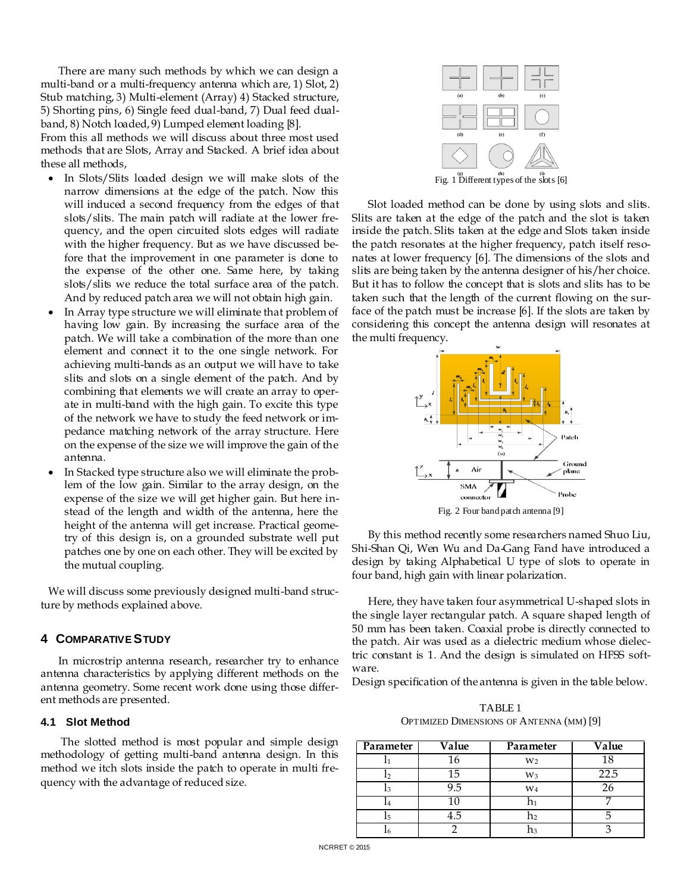There are many such methods by which we can design a multi-band or a multi-frequency antenna which are, 1) Slot, 2) Stub matching, 3) Multi-element (Array) 4) Stacked structure, 5) Shorting pins, 6) Single feed dual-band, 7) Dual feed dualband, 8) Notch loaded, 9) Lumped element loading [8].

From this all methods we will discuss about three most used methods that are Slots, Array and Stacked. A brief idea about these all methods,

- In Slots/Slits loaded design we will make slots of the narrow dimensions at the edge of the patch. Now this will induced a second frequency from the edges of that slots/slits. The main patch will radiate at the lower frequency, and the open circuited slots edges will radiate with the higher frequency. But as we have discussed before that the improvement in one parameter is done to the expense of the other one. Same here, by taking slots/slits we reduce the total surface area of the patch. And by reduced patch area we will not obtain high gain.
- In Array type structure we will eliminate that problem of having low gain. By increasing the surface area of the patch. We will take a combination of the more than one element and connect it to the one single network. For achieving multi-bands as an output we will have to take slits and slots on a single element of the patch. And by combining that elements we will create an array to operate in multi-band with the high gain. To excite this type of the network we have to study the feed network or impedance matching network of the array structure. Here on the expense of the size we will improve the gain of the antenna.
- In Stacked type structure also we will eliminate the problem of the low gain. Similar to the array design, on the expense of the size we will get higher gain. But here instead of the length and width of the antenna, here the height of the antenna will get increase. Practical geometry of this design is, on a grounded substrate well put patches one by one on each other. They will be excited by the mutual coupling.

We will discuss some previously designed multi-band structure by methods explained above.

### **4 COMPARATIVE STUDY**

In microstrip antenna research, researcher try to enhance antenna characteristics by applying different methods on the antenna geometry. Some recent work done using those different methods are presented.

### **4.1 Slot Method**

The slotted method is most popular and simple design methodology of getting multi-band antenna design. In this method we itch slots inside the patch to operate in multi frequency with the advantage of reduced size.



Slot loaded method can be done by using slots and slits. Slits are taken at the edge of the patch and the slot is taken inside the patch. Slits taken at the edge and Slots taken inside the patch resonates at the higher frequency, patch itself resonates at lower frequency [6]. The dimensions of the slots and slits are being taken by the antenna designer of his/her choice. But it has to follow the concept that is slots and slits has to be taken such that the length of the current flowing on the surface of the patch must be increase [6]. If the slots are taken by considering this concept the antenna design will resonates at the multi frequency.



Fig. 2 Four band patch antenna [9]

By this method recently some researchers named Shuo Liu, Shi-Shan Qi, Wen Wu and Da-Gang Fand have introduced a design by taking Alphabetical U type of slots to operate in four band, high gain with linear polarization.

Here, they have taken four asymmetrical U-shaped slots in the single layer rectangular patch. A square shaped length of 50 mm has been taken. Coaxial probe is directly connected to the patch. Air was used as a dielectric medium whose dielectric constant is 1. And the design is simulated on HFSS software.

Design specification of the antenna is given in the table below.

TABLE 1 OPTIMIZED DIMENSIONS OF ANTENNA (MM) [9]

| Parameter | Value | Parameter      | Value |
|-----------|-------|----------------|-------|
|           | 16    | W <sub>2</sub> | 18    |
| 12        | 15    | $W_3$          | 22.5  |
| l٩        | 9.5   | $\mathbf{W}_4$ |       |
| 14        | 10    |                |       |
| 15        | 4.5   | n <sub>2</sub> |       |
| L6        |       | Ωз             |       |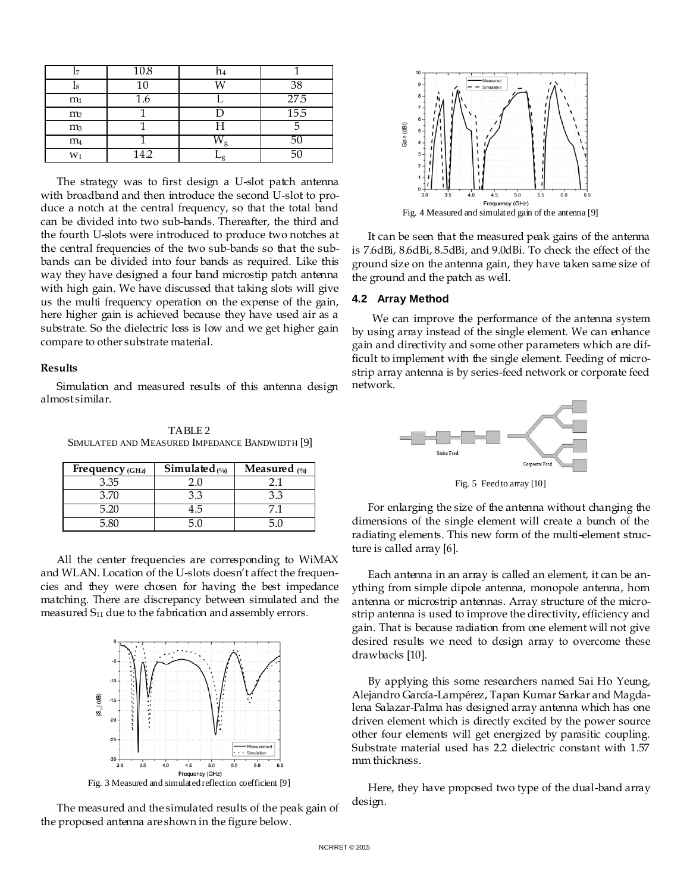|                | 10.8   | n4   |      |
|----------------|--------|------|------|
| 18             | $10\,$ | ٦A)  | 38   |
| m <sub>1</sub> | 1.6    |      | 27.5 |
| m <sub>2</sub> |        |      | 15.5 |
| m <sub>3</sub> |        | Н    |      |
| m <sub>4</sub> |        |      |      |
| $W_1$          | 14.2   | وىـا |      |

The strategy was to first design a U-slot patch antenna with broadband and then introduce the second U-slot to produce a notch at the central frequency, so that the total band can be divided into two sub-bands. Thereafter, the third and the fourth U-slots were introduced to produce two notches at the central frequencies of the two sub-bands so that the subbands can be divided into four bands as required. Like this way they have designed a four band microstip patch antenna with high gain. We have discussed that taking slots will give us the multi frequency operation on the expense of the gain, here higher gain is achieved because they have used air as a substrate. So the dielectric loss is low and we get higher gain compare to other substrate material.

#### **Results**

Simulation and measured results of this antenna design almost similar.

TABLE 2 SIMULATED AND MEASURED IMPEDANCE BANDWIDTH [9]

| Frequency $(GHz)$ | Simulated $(%)$ | <b>Measured</b> $\gamma_0$ |
|-------------------|-----------------|----------------------------|
| 3.35              |                 |                            |
| 3.70              | 3.3             | 33                         |
|                   | +.‴             |                            |
|                   |                 |                            |

All the center frequencies are corresponding to WiMAX and WLAN. Location of the U-slots doesn't affect the frequencies and they were chosen for having the best impedance matching. There are discrepancy between simulated and the measured  $S_{11}$  due to the fabrication and assembly errors.



The measured and the simulated results of the peak gain of the proposed antenna are shown in the figure below.



It can be seen that the measured peak gains of the antenna is 7.6dBi, 8.6dBi, 8.5dBi, and 9.0dBi. To check the effect of the ground size on the antenna gain, they have taken same size of the ground and the patch as well.

#### **4.2 Array Method**

We can improve the performance of the antenna system by using array instead of the single element. We can enhance gain and directivity and some other parameters which are difficult to implement with the single element. Feeding of microstrip array antenna is by series-feed network or corporate feed network.



Fig. 5 Feed to array [10]

For enlarging the size of the antenna without changing the dimensions of the single element will create a bunch of the radiating elements. This new form of the multi-element structure is called array [6].

Each antenna in an array is called an element, it can be anything from simple dipole antenna, monopole antenna, horn antenna or microstrip antennas. Array structure of the microstrip antenna is used to improve the directivity, efficiency and gain. That is because radiation from one element will not give desired results we need to design array to overcome these drawbacks [10].

By applying this some researchers named Sai Ho Yeung, Alejandro García-Lampérez, Tapan Kumar Sarkar and Magdalena Salazar-Palma has designed array antenna which has one driven element which is directly excited by the power source other four elements will get energized by parasitic coupling. Substrate material used has 2.2 dielectric constant with 1.57 mm thickness.

Here, they have proposed two type of the dual-band array design.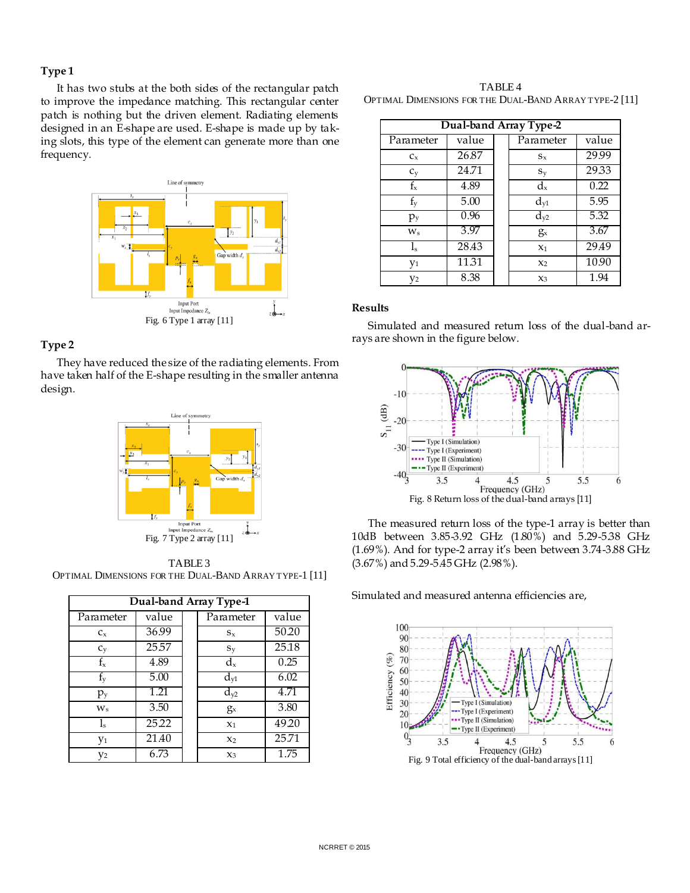## **Type 1**

It has two stubs at the both sides of the rectangular patch to improve the impedance matching. This rectangular center patch is nothing but the driven element. Radiating elements designed in an E-shape are used. E-shape is made up by taking slots, this type of the element can generate more than one frequency.



# **Type 2**

They have reduced the size of the radiating elements. From have taken half of the E-shape resulting in the smaller antenna design.



TABLE 3 OPTIMAL DIMENSIONS FOR THE DUAL-BAND ARRAY TYPE-1 [11]

| Dual-band Array Type-1 |       |  |                |       |  |
|------------------------|-------|--|----------------|-------|--|
| Parameter              | value |  | Parameter      | value |  |
| $C_x$                  | 36.99 |  | $S_{x}$        | 50.20 |  |
| $C_V$                  | 25.57 |  | $S_V$          | 25.18 |  |
| $f_{x}$                | 4.89  |  | $d_{x}$        | 0.25  |  |
| $f_y$                  | 5.00  |  | $d_{\rm v1}$   | 6.02  |  |
| $p_{y}$                | 1.21  |  | $d_{y2}$       | 4.71  |  |
| $W_{S}$                | 3.50  |  | $g_{x}$        | 3.80  |  |
| $l_{\rm s}$            | 25.22 |  | X <sub>1</sub> | 49.20 |  |
| y <sub>1</sub>         | 21.40 |  | $x_2$          | 25.71 |  |
| y2                     | 6.73  |  | $x_3$          | 1.75  |  |

TABLE 4 OPTIMAL DIMENSIONS FOR THE DUAL-BAND ARRAY TYPE-2 [11]

| Dual-band Array Type-2 |       |  |                |       |  |
|------------------------|-------|--|----------------|-------|--|
| Parameter              | value |  | Parameter      | value |  |
| $C_x$                  | 26.87 |  | $S_{X}$        | 29.99 |  |
| $C_V$                  | 24.71 |  | $S_V$          | 29.33 |  |
| $f_{x}$                | 4.89  |  | $d_{x}$        | 0.22  |  |
| $f_{y}$                | 5.00  |  | $d_{\rm v1}$   | 5.95  |  |
| $p_y$                  | 0.96  |  | $d_{y2}$       | 5.32  |  |
| $W_{S}$                | 3.97  |  | $g_{x}$        | 3.67  |  |
| $l_{\rm s}$            | 28.43 |  | X <sub>1</sub> | 29.49 |  |
| y <sub>1</sub>         | 11.31 |  | X <sub>2</sub> | 10.90 |  |
| V2                     | 8.38  |  | $x_3$          | 1.94  |  |

#### **Results**

Simulated and measured return loss of the dual-band arrays are shown in the figure below.



The measured return loss of the type-1 array is better than 10dB between 3.85-3.92 GHz (1.80%) and 5.29-5.38 GHz (1.69%). And for type-2 array it's been between 3.74-3.88 GHz (3.67%) and 5.29-5.45 GHz (2.98%).

Simulated and measured antenna efficiencies are,

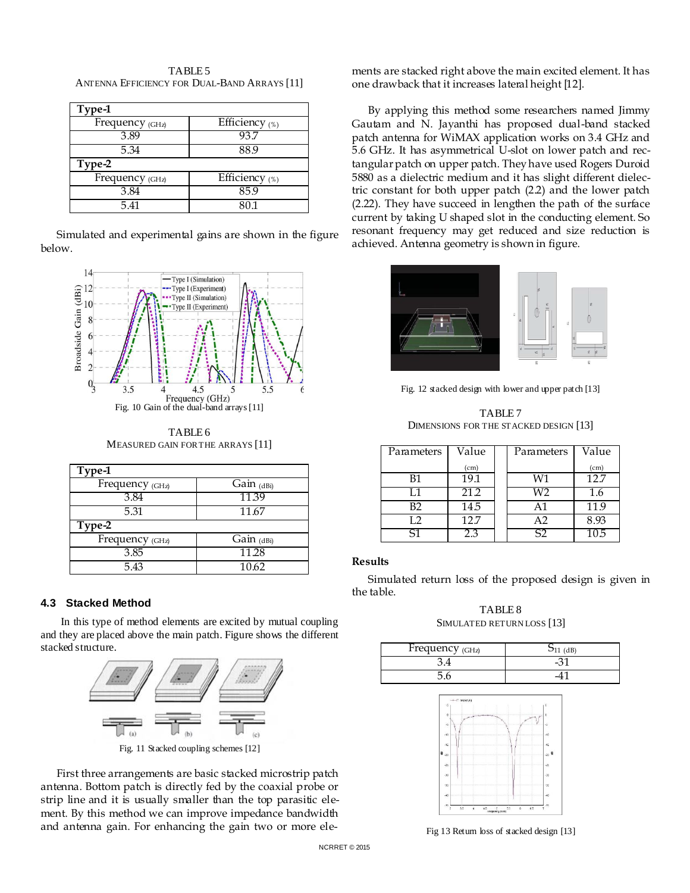TABLE 5 ANTENNA EFFICIENCY FOR DUAL-BAND ARRAYS [11]

| Type-1          |                  |
|-----------------|------------------|
| Frequency (GHz) | Efficiency (%)   |
| 3.89            | 93.              |
| 5.34            | 88.9             |
| Type-2          |                  |
| Frequency (GHz) | Efficiency $(*)$ |
| 3.84            | 85.9             |
| 5.41            | 80.1             |

Simulated and experimental gains are shown in the figure below.



TABLE 6 MEASURED GAIN FOR THE ARRAYS [11]

| Type-1          |              |  |  |  |  |
|-----------------|--------------|--|--|--|--|
| Frequency (GHz) | Gain $(dBi)$ |  |  |  |  |
| 3.84            | 11.39        |  |  |  |  |
| 5.31            | 11.67        |  |  |  |  |
| Type-2          |              |  |  |  |  |
| Frequency (GHz) | Gain $(dBi)$ |  |  |  |  |
| 3.85            | 11.28        |  |  |  |  |
| 5.43            | 10.62        |  |  |  |  |

#### **4.3 Stacked Method**

In this type of method elements are excited by mutual coupling and they are placed above the main patch. Figure shows the different stacked structure.



Fig. 11 Stacked coupling schemes [12]

First three arrangements are basic stacked microstrip patch antenna. Bottom patch is directly fed by the coaxial probe or strip line and it is usually smaller than the top parasitic element. By this method we can improve impedance bandwidth and antenna gain. For enhancing the gain two or more elements are stacked right above the main excited element. It has one drawback that it increases lateral height [12].

By applying this method some researchers named Jimmy Gautam and N. Jayanthi has proposed dual-band stacked patch antenna for WiMAX application works on 3.4 GHz and 5.6 GHz. It has asymmetrical U-slot on lower patch and rectangular patch on upper patch. They have used Rogers Duroid 5880 as a dielectric medium and it has slight different dielectric constant for both upper patch (2.2) and the lower patch (2.22). They have succeed in lengthen the path of the surface current by taking U shaped slot in the conducting element. So resonant frequency may get reduced and size reduction is achieved. Antenna geometry is shown in figure.



Fig. 12 stacked design with lower and upper patch [13]

TABLE 7 DIMENSIONS FOR THE STACKED DESIGN [13]

| Parameters | Value | Parameters | Value             |
|------------|-------|------------|-------------------|
|            | (cm)  |            | (c <sub>m</sub> ) |
| B1         | 19.1  | W1         | 12.7              |
| I 1        | 21.2  | W2         | 1.6               |
| B2         | 14.5  | Α1         | 11.9              |
| L2         | 12.7  | A2         | 8.93              |
| ς1         |       | S2         | 105               |

#### **Results**

Simulated return loss of the proposed design is given in the table.

TABLE 8 SIMULATED RETURN LOSS [13]

| Frequency $(GHz)$ | $511$ (dB) |  |
|-------------------|------------|--|
|                   |            |  |
|                   |            |  |



Fig 13 Return loss of stacked design [13]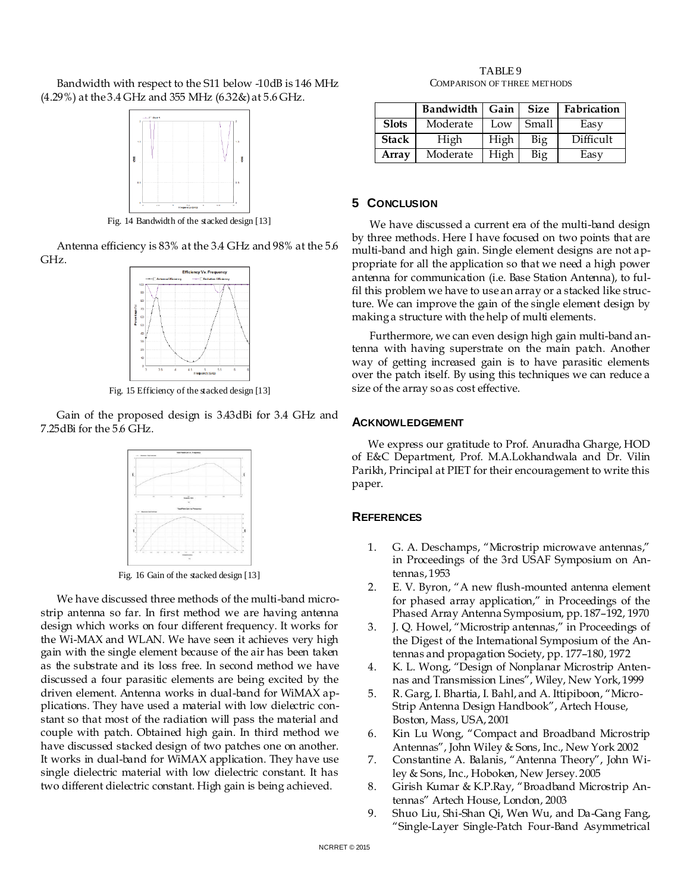Bandwidth with respect to the S11 below -10dB is 146 MHz (4.29%) at the 3.4 GHz and 355 MHz (6.32&) at 5.6 GHz.



Fig. 14 Bandwidth of the stacked design [13]

Antenna efficiency is 83% at the 3.4 GHz and 98% at the 5.6 GHz.



Fig. 15 Efficiency of the stacked design [13]

Gain of the proposed design is 3.43dBi for 3.4 GHz and 7.25dBi for the 5.6 GHz.



Fig. 16 Gain of the stacked design [13]

We have discussed three methods of the multi-band microstrip antenna so far. In first method we are having antenna design which works on four different frequency. It works for the Wi-MAX and WLAN. We have seen it achieves very high gain with the single element because of the air has been taken as the substrate and its loss free. In second method we have discussed a four parasitic elements are being excited by the driven element. Antenna works in dual-band for WiMAX applications. They have used a material with low dielectric constant so that most of the radiation will pass the material and couple with patch. Obtained high gain. In third method we have discussed stacked design of two patches one on another. It works in dual-band for WiMAX application. They have use single dielectric material with low dielectric constant. It has two different dielectric constant. High gain is being achieved.

TABLE 9 COMPARISON OF THREE METHODS

|              | Bandwidth | Gain | <b>Size</b> | Fabrication |
|--------------|-----------|------|-------------|-------------|
| <b>Slots</b> | Moderate  | Low  | Small       | Easy        |
| <b>Stack</b> | High      | High | Big         | Difficult   |
| Array        | Moderate  | High | Big         | Easy        |

# **5 CONCLUSION**

We have discussed a current era of the multi-band design by three methods. Here I have focused on two points that are multi-band and high gain. Single element designs are not appropriate for all the application so that we need a high power antenna for communication (i.e. Base Station Antenna), to fulfil this problem we have to use an array or a stacked like structure. We can improve the gain of the single element design by making a structure with the help of multi elements.

Furthermore, we can even design high gain multi-band antenna with having superstrate on the main patch. Another way of getting increased gain is to have parasitic elements over the patch itself. By using this techniques we can reduce a size of the array so as cost effective.

# **ACKNOWLEDGEMENT**

We express our gratitude to Prof. Anuradha Gharge, HOD of E&C Department, Prof. M.A.Lokhandwala and Dr. Vilin Parikh, Principal at PIET for their encouragement to write this paper.

# **REFERENCES**

- 1. G. A. Deschamps, "Microstrip microwave antennas," in Proceedings of the 3rd USAF Symposium on Antennas, 1953
- 2. E. V. Byron, "A new flush-mounted antenna element for phased array application," in Proceedings of the Phased Array Antenna Symposium, pp. 187–192, 1970
- 3. J. Q. Howel, "Microstrip antennas," in Proceedings of the Digest of the International Symposium of the Antennas and propagation Society, pp. 177–180, 1972
- 4. K. L. Wong, "Design of Nonplanar Microstrip Antennas and Transmission Lines", Wiley, New York, 1999
- 5. R. Garg, I. Bhartia, I. Bahl, and A. Ittipiboon, "Micro-Strip Antenna Design Handbook", Artech House, Boston, Mass, USA, 2001
- 6. Kin Lu Wong, "Compact and Broadband Microstrip Antennas‖, John Wiley & Sons, Inc., New York 2002
- 7. Constantine A. Balanis, "Antenna Theory", John Wiley & Sons, Inc., Hoboken, New Jersey. 2005
- 8. Girish Kumar & K.P.Ray, "Broadband Microstrip Antennas‖ Artech House, London, 2003
- 9. Shuo Liu, Shi-Shan Qi, Wen Wu, and Da-Gang Fang, ―Single-Layer Single-Patch Four-Band Asymmetrical